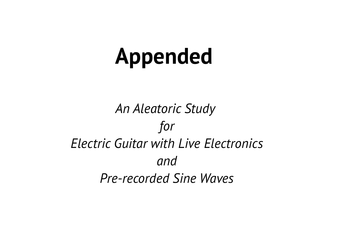# **Appended**

## *An Aleatoric Study for Electric Guitar with Live Electronics and Pre-recorded Sine Waves*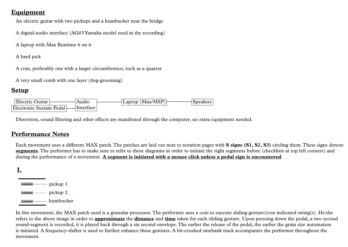#### **Equipment**

An electric guitar with two pickups and a humbucker near the bridge

A digital-audio interface (AG03Yamaha model used in the recording)

A laptop with Max Runtime 6 on it

A hard pick

A coin, preferably one with a larger circumference, such as a quarter

A very small comb with one layer (dog-grooming)

#### **Setup**

| Electric Guitar ---------------  Audio  |  |  |  |
|-----------------------------------------|--|--|--|
| Electronic Sustain Pedal ---- Interface |  |  |  |

Distortion, sound filtering and other effects are manifested through the computer, no extra equipment needed.

#### **Performance Notes**

Each movement uses a different MAX patch.The patches are laid out next to notation pages with **S signs (S1, S2, S3)** circling them.These signs denote **segments**.The performer has to make sure to refer to these diagrams in order to initiate the right segments before (checklists at top left corners) and during the performance of a movement. **A segment is initiated with a mouse click unless a pedal sign is encountered**.

#### **I.**

 $\frac{1}{2}$  ------- pickup 1  $-$  pickup 2 **Home** ------ humbucker

In this movement, the MAX patch used is a granular processor. The performer uses a coin to execute sliding gesture(s) on indicated string(s). He/she refers to the above image in order to **approximate** the **distance** and **time** taken for each sliding gesture. Upon pressing down the pedal, a two second sound-segment is recorded, it is played back through a six second envelope.The earlier the release of the pedal, the earlier the grain size automation is initiated. A frequency-shifter is used to further enhance these gestures. A bit-crushed sinebank track accompanies the performer throughout the movement.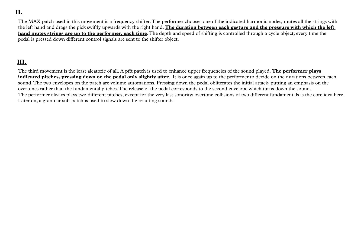#### **II.**

The MAX patch used in this movement is a frequency-shifter.The performer chooses one of the indicated harmonic nodes, mutes all the strings with the left hand and drags the pick swiftly upwards with the right hand. **The duration between each gesture and the pressure with which the left hand mutes strings are up to the performer, each time**.The depth and speed of shifting is controlled through a cycle object; every time the pedal is pressed down different control signals are sent to the shifter object.

#### **III.**

The third movement is the least aleatoric of all. A pfft patch is used to enhance upper frequencies of the sound played. **The performer plays indicated pitches, pressing down on the pedal only slightly after**. It is once again up to the performer to decide on the durations between each sound.The two envelopes on the patch are volume automations. Pressing down the pedal obliterates the initial attack, putting an emphasis on the overtones rather than the fundamental pitches.The release of the pedal corresponds to the second envelope which turns down the sound. The performer always plays two different pitches, except for the very last sonority; overtone collisions of two different fundamentals is the core idea here. Later on, a granular sub-patch is used to slow down the resulting sounds.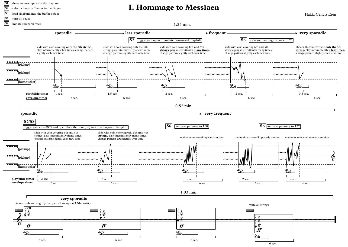**S1** draw an envelope as in the diagram

**S5** turn on ezdac

**S2** select a lowpass filter as in the diagram

**S3** load sinebank into the buffer object

#### **I. Hommage to Messiaen**

Hakki Cengiz Eren

1:25 min.

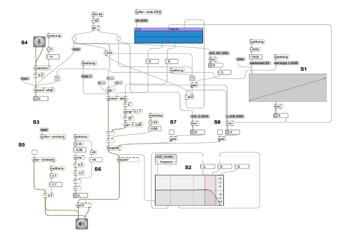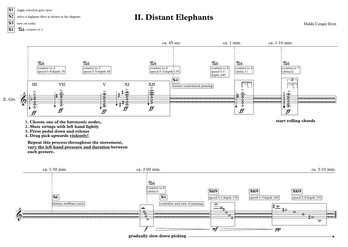#### **S1** toggle selection gate open

 $\mathbf{S2}^{\parallel}$  select a highpass filter as shown in the diagram

### **II. Distant Elephants**

Hakki Cengiz Eren



**S1 Leo** counter to 1



**1. Choose one of the harmonic nodes,**

- **2. Mute strings with left hand lightly**
- **3. Press pedal down and release**
- **4. Drag pick upwards violently!**

**Repeat this process throughout the movement, vary the left hand pressure and duration between each gesture.**

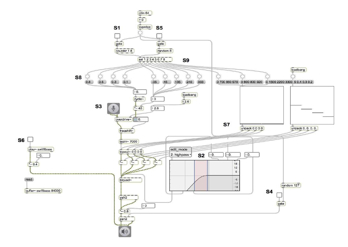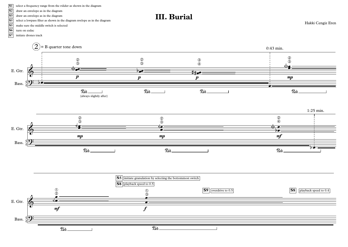**S1** select a frequency range from the rslider as shown in the diagram

**S2** draw an envelope as in the diagram

**S3** draw an envelope as in the diagram

**S5** select a lowpass filter as shown in the diagram nvelope as in the diagram

**S5** make sure the middle switch is selected

**S6** turn on ezdac

**S7** initiate drones track



**III. Burial**

Hakki Cengiz Eren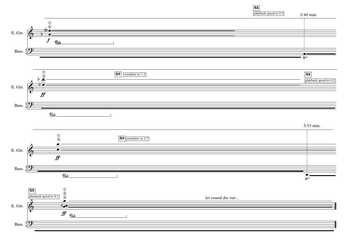